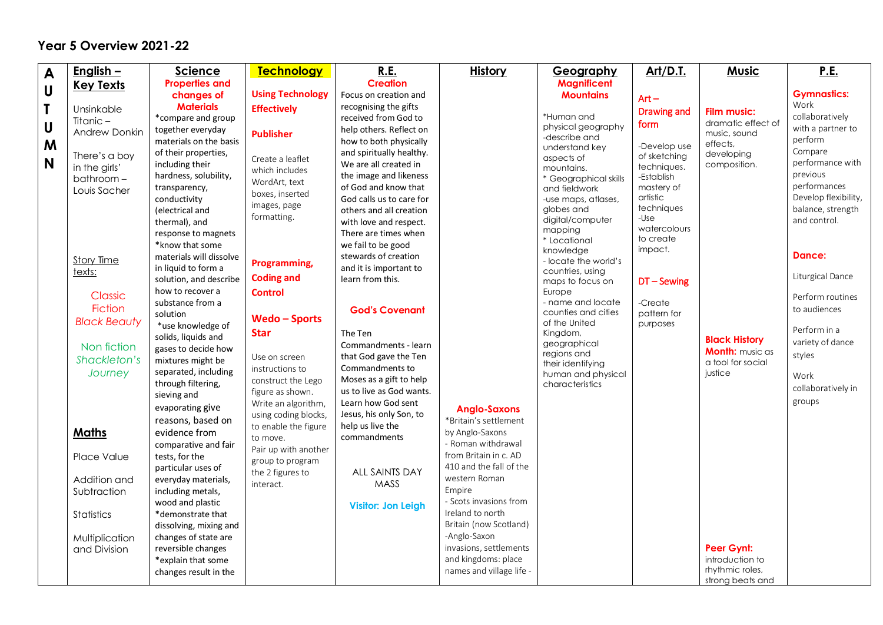## **Year 5 Overview 2021-22**

| $\mathbf{A}$ | English $-$          | <b>Science</b>                         | <b>Technology</b>                      | <b>R.E.</b>                                    | <b>History</b>           | <u>Geography</u>                     | Art/D.T.               | <b>Music</b>           | <u>P.E.</u>              |
|--------------|----------------------|----------------------------------------|----------------------------------------|------------------------------------------------|--------------------------|--------------------------------------|------------------------|------------------------|--------------------------|
| U            | <b>Key Texts</b>     | <b>Properties and</b>                  |                                        | <b>Creation</b>                                |                          | <b>Magnificent</b>                   |                        |                        |                          |
|              |                      | changes of                             | <b>Using Technology</b>                | Focus on creation and                          |                          | <b>Mountains</b>                     | $Art -$                |                        | <b>Gymnastics:</b>       |
| T            | Unsinkable           | <b>Materials</b>                       | <b>Effectively</b>                     | recognising the gifts                          |                          |                                      | <b>Drawing and</b>     | <b>Film music:</b>     | Work                     |
|              | Titanic $-$          | *compare and group                     |                                        | received from God to                           |                          | *Human and                           | form                   | dramatic effect of     | collaboratively          |
| $\mathsf{U}$ | <b>Andrew Donkin</b> | together everyday                      | <b>Publisher</b>                       | help others. Reflect on                        |                          | physical geography<br>-describe and  |                        | music, sound           | with a partner to        |
| M            |                      | materials on the basis                 |                                        | how to both physically                         |                          | understand key                       | -Develop use           | effects,               | perform                  |
|              | There's a boy        | of their properties,                   | Create a leaflet                       | and spiritually healthy.                       |                          | aspects of                           | of sketching           | developing             | Compare                  |
| N            | in the girls'        | including their                        | which includes                         | We are all created in                          |                          | mountains.                           | techniques.            | composition.           | performance with         |
|              | $bathroom -$         | hardness, solubility,                  | WordArt, text                          | the image and likeness                         |                          | * Geographical skills                | -Establish             |                        | previous<br>performances |
|              | Louis Sacher         | transparency,                          | boxes, inserted                        | of God and know that                           |                          | and fieldwork                        | mastery of<br>artistic |                        | Develop flexibility,     |
|              |                      | conductivity                           | images, page                           | God calls us to care for                       |                          | -use maps, atlases,<br>globes and    | techniques             |                        | balance, strength        |
|              |                      | (electrical and                        | formatting.                            | others and all creation                        |                          | digital/computer                     | -Use                   |                        | and control.             |
|              |                      | thermal), and                          |                                        | with love and respect.<br>There are times when |                          | mapping                              | watercolours           |                        |                          |
|              |                      | response to magnets<br>*know that some |                                        | we fail to be good                             |                          | * Locational                         | to create              |                        |                          |
|              |                      | materials will dissolve                |                                        | stewards of creation                           |                          | knowledge                            | impact.                |                        | Dance:                   |
|              | Story Time           | in liquid to form a                    | Programming,                           | and it is important to                         |                          | - locate the world's                 |                        |                        |                          |
|              | texts:               | solution, and describe                 | <b>Coding and</b>                      | learn from this.                               |                          | countries, using<br>maps to focus on | $DT -$ Sewing          |                        | Liturgical Dance         |
|              |                      | how to recover a                       | <b>Control</b>                         |                                                |                          | Europe                               |                        |                        |                          |
|              | Classic              | substance from a                       |                                        |                                                |                          | - name and locate                    | -Create                |                        | Perform routines         |
|              | <b>Fiction</b>       | solution                               | <b>Wedo-Sports</b>                     | <b>God's Covenant</b>                          |                          | counties and cities                  | pattern for            |                        | to audiences             |
|              | <b>Black Beauty</b>  | *use knowledge of                      |                                        |                                                |                          | of the United                        | purposes               |                        | Perform in a             |
|              |                      | solids, liquids and                    | <b>Star</b>                            | The Ten                                        |                          | Kingdom,<br>geographical             |                        | <b>Black History</b>   | variety of dance         |
|              | Non fiction          | gases to decide how                    |                                        | Commandments - learn                           |                          | regions and                          |                        | <b>Month:</b> music as | styles                   |
|              | Shackleton's         | mixtures might be                      | Use on screen                          | that God gave the Ten                          |                          | their identifying                    |                        | a tool for social      |                          |
|              | Journey              | separated, including                   | instructions to                        | Commandments to<br>Moses as a gift to help     |                          | human and physical                   |                        | justice                | Work                     |
|              |                      | through filtering,                     | construct the Lego<br>figure as shown. | us to live as God wants.                       |                          | characteristics                      |                        |                        | collaboratively in       |
|              |                      | sieving and                            | Write an algorithm,                    | Learn how God sent                             |                          |                                      |                        |                        | groups                   |
|              |                      | evaporating give                       | using coding blocks,                   | Jesus, his only Son, to                        | <b>Anglo-Saxons</b>      |                                      |                        |                        |                          |
|              |                      | reasons, based on                      | to enable the figure                   | help us live the                               | *Britain's settlement    |                                      |                        |                        |                          |
|              | <b>Maths</b>         | evidence from                          | to move.                               | commandments                                   | by Anglo-Saxons          |                                      |                        |                        |                          |
|              |                      | comparative and fair                   | Pair up with another                   |                                                | - Roman withdrawal       |                                      |                        |                        |                          |
|              | Place Value          | tests, for the                         | group to program                       |                                                | from Britain in c. AD    |                                      |                        |                        |                          |
|              |                      | particular uses of                     | the 2 figures to                       | ALL SAINTS DAY                                 | 410 and the fall of the  |                                      |                        |                        |                          |
|              | Addition and         | everyday materials,                    | interact.                              | MASS                                           | western Roman<br>Empire  |                                      |                        |                        |                          |
|              | Subtraction          | including metals,                      |                                        |                                                | - Scots invasions from   |                                      |                        |                        |                          |
|              |                      | wood and plastic<br>*demonstrate that  |                                        | <b>Visitor: Jon Leigh</b>                      | Ireland to north         |                                      |                        |                        |                          |
|              | Statistics           | dissolving, mixing and                 |                                        |                                                | Britain (now Scotland)   |                                      |                        |                        |                          |
|              | Multiplication       | changes of state are                   |                                        |                                                | -Anglo-Saxon             |                                      |                        |                        |                          |
|              | and Division         | reversible changes                     |                                        |                                                | invasions, settlements   |                                      |                        | Peer Gynt:             |                          |
|              |                      | *explain that some                     |                                        |                                                | and kingdoms: place      |                                      |                        | introduction to        |                          |
|              |                      | changes result in the                  |                                        |                                                | names and village life - |                                      |                        | rhythmic roles,        |                          |
|              |                      |                                        |                                        |                                                |                          |                                      |                        | strong beats and       |                          |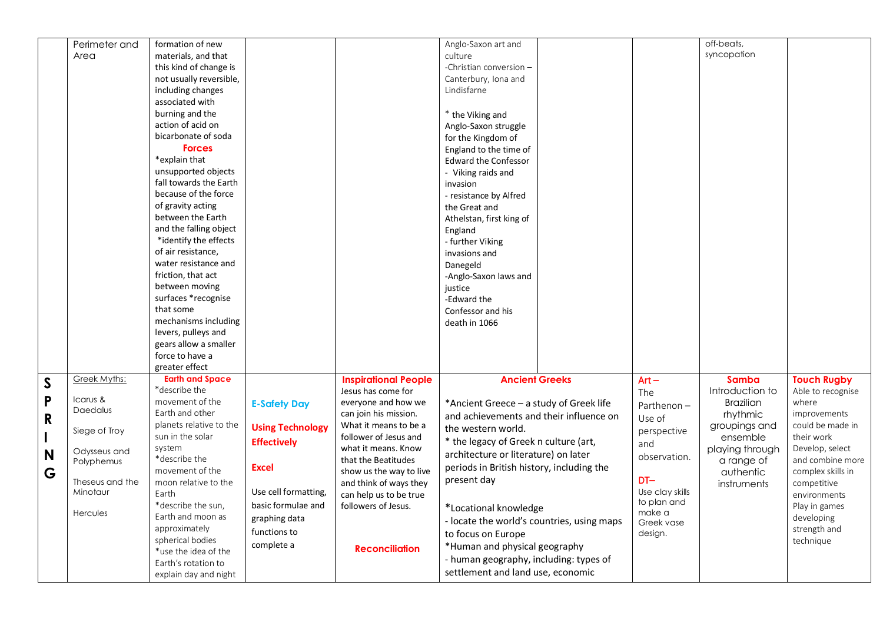|              | Perimeter and   | formation of new                            |                         |                                                   | Anglo-Saxon art and                        |                 | off-beats,       |                                       |
|--------------|-----------------|---------------------------------------------|-------------------------|---------------------------------------------------|--------------------------------------------|-----------------|------------------|---------------------------------------|
|              | Area            | materials, and that                         |                         |                                                   | culture                                    |                 | syncopation      |                                       |
|              |                 | this kind of change is                      |                         |                                                   | -Christian conversion -                    |                 |                  |                                       |
|              |                 | not usually reversible,                     |                         |                                                   | Canterbury, Iona and                       |                 |                  |                                       |
|              |                 | including changes                           |                         |                                                   | Lindisfarne                                |                 |                  |                                       |
|              |                 | associated with                             |                         |                                                   |                                            |                 |                  |                                       |
|              |                 | burning and the                             |                         |                                                   | * the Viking and                           |                 |                  |                                       |
|              |                 | action of acid on                           |                         |                                                   | Anglo-Saxon struggle                       |                 |                  |                                       |
|              |                 | bicarbonate of soda                         |                         |                                                   | for the Kingdom of                         |                 |                  |                                       |
|              |                 | <b>Forces</b>                               |                         |                                                   | England to the time of                     |                 |                  |                                       |
|              |                 | *explain that                               |                         |                                                   | <b>Edward the Confessor</b>                |                 |                  |                                       |
|              |                 | unsupported objects                         |                         |                                                   | - Viking raids and                         |                 |                  |                                       |
|              |                 | fall towards the Earth                      |                         |                                                   | invasion                                   |                 |                  |                                       |
|              |                 | because of the force                        |                         |                                                   | - resistance by Alfred                     |                 |                  |                                       |
|              |                 | of gravity acting                           |                         |                                                   | the Great and                              |                 |                  |                                       |
|              |                 | between the Earth                           |                         |                                                   | Athelstan, first king of                   |                 |                  |                                       |
|              |                 | and the falling object                      |                         |                                                   | England                                    |                 |                  |                                       |
|              |                 | *identify the effects                       |                         |                                                   | - further Viking                           |                 |                  |                                       |
|              |                 | of air resistance,                          |                         |                                                   | invasions and                              |                 |                  |                                       |
|              |                 | water resistance and                        |                         |                                                   | Danegeld                                   |                 |                  |                                       |
|              |                 | friction, that act                          |                         |                                                   | -Anglo-Saxon laws and                      |                 |                  |                                       |
|              |                 | between moving                              |                         |                                                   | justice                                    |                 |                  |                                       |
|              |                 | surfaces *recognise                         |                         |                                                   | -Edward the                                |                 |                  |                                       |
|              |                 | that some                                   |                         |                                                   | Confessor and his                          |                 |                  |                                       |
|              |                 | mechanisms including                        |                         |                                                   | death in 1066                              |                 |                  |                                       |
|              |                 | levers, pulleys and                         |                         |                                                   |                                            |                 |                  |                                       |
|              |                 | gears allow a smaller                       |                         |                                                   |                                            |                 |                  |                                       |
|              |                 | force to have a                             |                         |                                                   |                                            |                 |                  |                                       |
|              |                 | greater effect                              |                         |                                                   |                                            |                 |                  |                                       |
| $\mathsf{S}$ | Greek Myths:    | <b>Earth and Space</b>                      |                         | <b>Inspirational People</b>                       | <b>Ancient Greeks</b>                      | $Art -$         | <b>Samba</b>     | <b>Touch Rugby</b>                    |
| P            | Icarus &        | *describe the                               |                         | Jesus has come for                                |                                            | The             | Introduction to  | Able to recognise                     |
|              | Daedalus        | movement of the                             | <b>E-Safety Day</b>     | everyone and how we                               | *Ancient Greece - a study of Greek life    | Parthenon-      | <b>Brazilian</b> | where                                 |
| R            |                 | Earth and other                             |                         | can join his mission.                             | and achievements and their influence on    | Use of          | rhythmic         | improvements                          |
|              | Siege of Troy   | planets relative to the<br>sun in the solar | <b>Using Technology</b> | What it means to be a                             | the western world.                         | perspective     | groupings and    | could be made in                      |
|              |                 |                                             | <b>Effectively</b>      | follower of Jesus and                             | * the legacy of Greek n culture (art,      | and             | ensemble         | their work                            |
| N            | Odysseus and    | system<br>*describe the                     |                         | what it means. Know                               | architecture or literature) on later       | observation.    | playing through  | Develop, select                       |
|              | Polyphemus      | movement of the                             | <b>Excel</b>            | that the Beatitudes                               | periods in British history, including the  |                 | a range of       | and combine more<br>complex skills in |
| G            | Theseus and the | moon relative to the                        |                         | show us the way to live<br>and think of ways they | present day                                | $DT-$           | authentic        |                                       |
|              | Minotaur        | Earth                                       | Use cell formatting,    | can help us to be true                            |                                            | Use clay skills | instruments      | competitive<br>environments           |
|              |                 | *describe the sun,                          | basic formulae and      | followers of Jesus.                               |                                            | to plan and     |                  | Play in games                         |
|              | Hercules        | Earth and moon as                           |                         |                                                   | *Locational knowledge                      | make a          |                  | developing                            |
|              |                 | approximately                               | graphing data           |                                                   | - locate the world's countries, using maps | Greek vase      |                  | strength and                          |
|              |                 | spherical bodies                            | functions to            |                                                   | to focus on Europe                         | design.         |                  | technique                             |
|              |                 | *use the idea of the                        | complete a              | <b>Reconciliation</b>                             | *Human and physical geography              |                 |                  |                                       |
|              |                 | Earth's rotation to                         |                         |                                                   | - human geography, including: types of     |                 |                  |                                       |
|              |                 | explain day and night                       |                         |                                                   | settlement and land use, economic          |                 |                  |                                       |
|              |                 |                                             |                         |                                                   |                                            |                 |                  |                                       |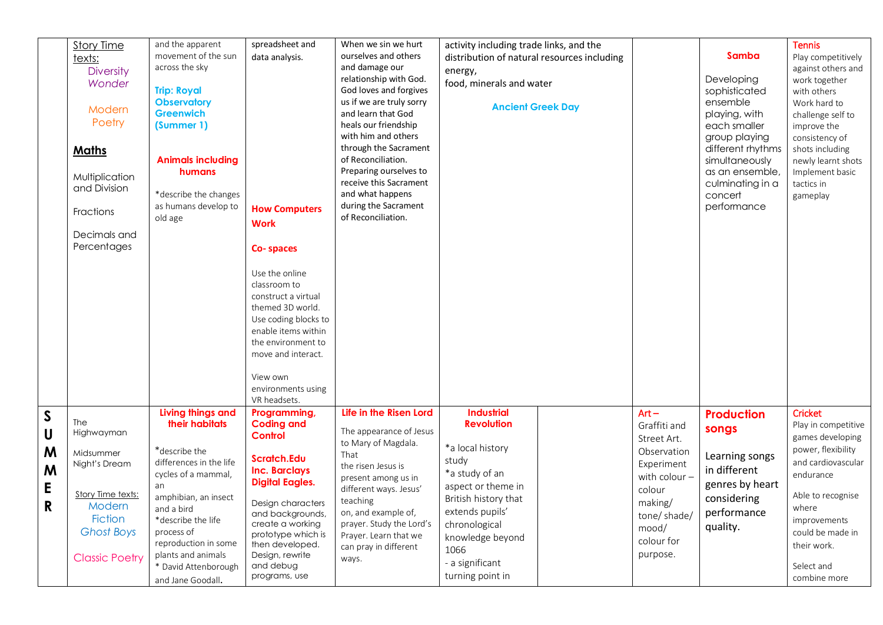|             |                       | and the apparent         | spreadsheet and        | When we sin we hurt      |                                             |  |               |                   |                     |
|-------------|-----------------------|--------------------------|------------------------|--------------------------|---------------------------------------------|--|---------------|-------------------|---------------------|
|             | <b>Story Time</b>     | movement of the sun      | ourselves and others   |                          | activity including trade links, and the     |  |               |                   | <b>Tennis</b>       |
|             | texts:                |                          | data analysis.         |                          | distribution of natural resources including |  | Samba         |                   | Play competitively  |
|             | <b>Diversity</b>      | across the sky           |                        | and damage our           | energy,                                     |  |               |                   | against others and  |
|             | Wonder                |                          |                        | relationship with God.   | food, minerals and water                    |  |               | Developing        | work together       |
|             |                       | <b>Trip: Royal</b>       |                        | God loves and forgives   |                                             |  |               | sophisticated     | with others         |
|             | Modern                | <b>Observatory</b>       |                        | us if we are truly sorry | <b>Ancient Greek Day</b>                    |  |               | ensemble          | Work hard to        |
|             |                       | <b>Greenwich</b>         |                        | and learn that God       |                                             |  |               | playing, with     | challenge self to   |
|             | Poetry                | (Summer 1)               |                        | heals our friendship     |                                             |  |               | each smaller      | improve the         |
|             |                       |                          |                        | with him and others      |                                             |  |               | group playing     | consistency of      |
|             | <b>Maths</b>          |                          |                        | through the Sacrament    |                                             |  |               | different rhythms | shots including     |
|             |                       | <b>Animals including</b> |                        | of Reconciliation.       |                                             |  |               | simultaneously    | newly learnt shots  |
|             | Multiplication        | humans                   |                        | Preparing ourselves to   |                                             |  |               | as an ensemble,   | Implement basic     |
|             | and Division          |                          |                        | receive this Sacrament   |                                             |  |               | culminating in a  | tactics in          |
|             |                       | *describe the changes    |                        | and what happens         |                                             |  |               | concert           | gameplay            |
|             |                       | as humans develop to     | <b>How Computers</b>   | during the Sacrament     |                                             |  |               | performance       |                     |
|             | Fractions             | old age                  |                        | of Reconciliation.       |                                             |  |               |                   |                     |
|             |                       |                          | <b>Work</b>            |                          |                                             |  |               |                   |                     |
|             | Decimals and          |                          |                        |                          |                                             |  |               |                   |                     |
|             | Percentages           |                          | Co-spaces              |                          |                                             |  |               |                   |                     |
|             |                       |                          |                        |                          |                                             |  |               |                   |                     |
|             |                       |                          | Use the online         |                          |                                             |  |               |                   |                     |
|             |                       |                          | classroom to           |                          |                                             |  |               |                   |                     |
|             |                       |                          | construct a virtual    |                          |                                             |  |               |                   |                     |
|             |                       |                          | themed 3D world.       |                          |                                             |  |               |                   |                     |
|             |                       |                          | Use coding blocks to   |                          |                                             |  |               |                   |                     |
|             |                       |                          | enable items within    |                          |                                             |  |               |                   |                     |
|             |                       |                          | the environment to     |                          |                                             |  |               |                   |                     |
|             |                       |                          | move and interact.     |                          |                                             |  |               |                   |                     |
|             |                       |                          |                        |                          |                                             |  |               |                   |                     |
|             |                       |                          | View own               |                          |                                             |  |               |                   |                     |
|             |                       |                          | environments using     |                          |                                             |  |               |                   |                     |
|             |                       |                          | VR headsets.           |                          |                                             |  |               |                   |                     |
|             |                       | Living things and        | Programming,           | Life in the Risen Lord   | <b>Industrial</b>                           |  | $Art -$       | <b>Production</b> | <b>Cricket</b>      |
| $\mathsf S$ | The                   | their habitats           | <b>Coding and</b>      |                          | <b>Revolution</b>                           |  | Graffiti and  |                   | Play in competitive |
| U           | Highwayman            |                          | <b>Control</b>         | The appearance of Jesus  |                                             |  |               | songs             |                     |
|             |                       |                          |                        | to Mary of Magdala.      | *a local history                            |  | Street Art.   |                   | games developing    |
| M           | Midsummer             | *describe the            | Scratch.Edu            | That                     |                                             |  | Observation   | Learning songs    | power, flexibility  |
| M           | Night's Dream         | differences in the life  | <b>Inc. Barclays</b>   | the risen Jesus is       | study                                       |  | Experiment    | in different      | and cardiovascular  |
|             |                       | cycles of a mammal,      |                        | present among us in      | *a study of an                              |  | with $color-$ |                   | endurance           |
| E           |                       | an                       | <b>Digital Eagles.</b> | different ways. Jesus'   | aspect or theme in                          |  | colour        | genres by heart   |                     |
|             | Story Time texts:     | amphibian, an insect     | Design characters      | teaching                 | British history that                        |  | making/       | considering       | Able to recognise   |
| R           | Modern                | and a bird               | and backgrounds,       | on, and example of,      | extends pupils'                             |  | tone/shade/   | performance       | where               |
|             | <b>Fiction</b>        | *describe the life       | create a working       | prayer. Study the Lord's | chronological                               |  |               | quality.          | improvements        |
|             | <b>Ghost Boys</b>     | process of               | prototype which is     | Prayer. Learn that we    | knowledge beyond                            |  | mood/         |                   | could be made in    |
|             |                       | reproduction in some     | then developed.        | can pray in different    | 1066                                        |  | colour for    |                   | their work.         |
|             | <b>Classic Poetry</b> | plants and animals       | Design, rewrite        | ways.                    |                                             |  | purpose.      |                   |                     |
|             |                       | * David Attenborough     | and debug              |                          | - a significant                             |  |               |                   | Select and          |
|             |                       | and Jane Goodall.        | programs, use          |                          | turning point in                            |  |               |                   | combine more        |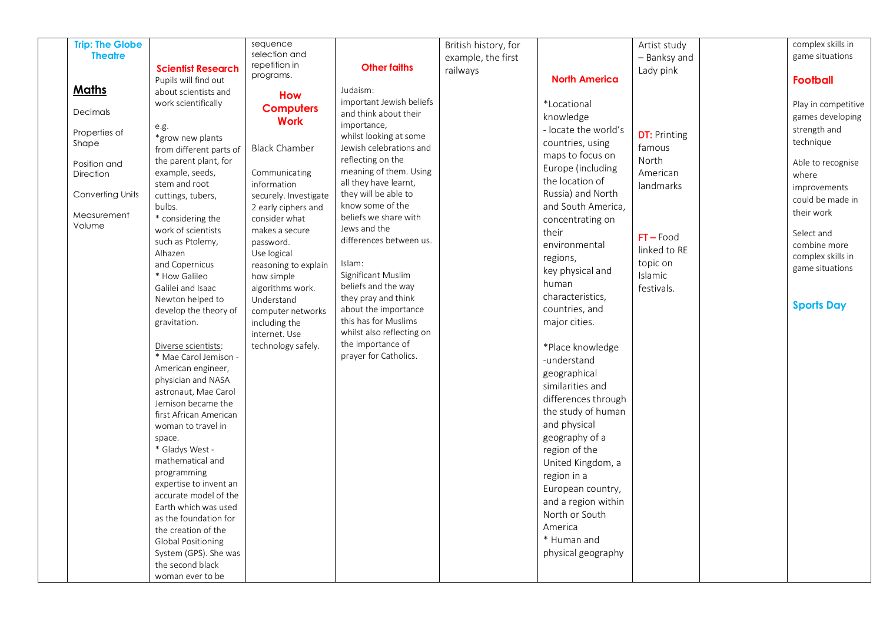| <b>Trip: The Globe</b> |                                               | sequence                       |                                                   | British history, for |                      | Artist study          | complex skills in   |
|------------------------|-----------------------------------------------|--------------------------------|---------------------------------------------------|----------------------|----------------------|-----------------------|---------------------|
| <b>Theatre</b>         |                                               | selection and                  |                                                   | example, the first   |                      | - Banksy and          | game situations     |
|                        | <b>Scientist Research</b>                     | repetition in                  | <b>Other faiths</b>                               | railways             |                      | Lady pink             |                     |
|                        | Pupils will find out                          | programs.                      |                                                   |                      | <b>North America</b> |                       | <b>Football</b>     |
| <b>Maths</b>           | about scientists and                          | <b>How</b>                     | Judaism:                                          |                      |                      |                       |                     |
|                        | work scientifically                           | <b>Computers</b>               | important Jewish beliefs                          |                      | *Locational          |                       | Play in competitive |
| Decimals               |                                               | <b>Work</b>                    | and think about their                             |                      | knowledge            |                       | games developing    |
| Properties of          | e.g.                                          |                                | importance,                                       |                      | - locate the world's | <b>DT: Printing</b>   | strength and        |
| Shape                  | *grow new plants                              | <b>Black Chamber</b>           | whilst looking at some<br>Jewish celebrations and |                      | countries, using     | famous                | technique           |
|                        | from different parts of                       |                                | reflecting on the                                 |                      | maps to focus on     | North                 |                     |
| Position and           | the parent plant, for<br>example, seeds,      | Communicating                  | meaning of them. Using                            |                      | Europe (including    |                       | Able to recognise   |
| Direction              | stem and root                                 | information                    | all they have learnt,                             |                      | the location of      | American<br>landmarks | where               |
| Converting Units       | cuttings, tubers,                             | securely. Investigate          | they will be able to                              |                      | Russia) and North    |                       | improvements        |
|                        | bulbs.                                        | 2 early ciphers and            | know some of the                                  |                      | and South America,   |                       | could be made in    |
| Measurement            | * considering the                             | consider what                  | beliefs we share with                             |                      | concentrating on     |                       | their work          |
| Volume                 | work of scientists                            | makes a secure                 | Jews and the                                      |                      | their                | $FT$ – Food           | Select and          |
|                        | such as Ptolemy,                              | password.                      | differences between us.                           |                      | environmental        | linked to RE          | combine more        |
|                        | Alhazen                                       | Use logical                    |                                                   |                      | regions,             | topic on              | complex skills in   |
|                        | and Copernicus                                | reasoning to explain           | Islam:<br>Significant Muslim                      |                      | key physical and     | Islamic               | game situations     |
|                        | * How Galileo<br>Galilei and Isaac            | how simple<br>algorithms work. | beliefs and the way                               |                      | human                | festivals.            |                     |
|                        | Newton helped to                              | Understand                     | they pray and think                               |                      | characteristics,     |                       |                     |
|                        | develop the theory of                         | computer networks              | about the importance                              |                      | countries, and       |                       | <b>Sports Day</b>   |
|                        | gravitation.                                  | including the                  | this has for Muslims                              |                      | major cities.        |                       |                     |
|                        |                                               | internet. Use                  | whilst also reflecting on                         |                      |                      |                       |                     |
|                        | Diverse scientists:                           | technology safely.             | the importance of                                 |                      | *Place knowledge     |                       |                     |
|                        | * Mae Carol Jemison -                         |                                | prayer for Catholics.                             |                      | -understand          |                       |                     |
|                        | American engineer,                            |                                |                                                   |                      | geographical         |                       |                     |
|                        | physician and NASA<br>astronaut, Mae Carol    |                                |                                                   |                      | similarities and     |                       |                     |
|                        | Jemison became the                            |                                |                                                   |                      | differences through  |                       |                     |
|                        | first African American                        |                                |                                                   |                      | the study of human   |                       |                     |
|                        | woman to travel in                            |                                |                                                   |                      | and physical         |                       |                     |
|                        | space.                                        |                                |                                                   |                      | geography of a       |                       |                     |
|                        | * Gladys West -                               |                                |                                                   |                      | region of the        |                       |                     |
|                        | mathematical and                              |                                |                                                   |                      | United Kingdom, a    |                       |                     |
|                        | programming                                   |                                |                                                   |                      | region in a          |                       |                     |
|                        | expertise to invent an                        |                                |                                                   |                      | European country,    |                       |                     |
|                        | accurate model of the<br>Earth which was used |                                |                                                   |                      | and a region within  |                       |                     |
|                        | as the foundation for                         |                                |                                                   |                      | North or South       |                       |                     |
|                        | the creation of the                           |                                |                                                   |                      | America              |                       |                     |
|                        | Global Positioning                            |                                |                                                   |                      | * Human and          |                       |                     |
|                        | System (GPS). She was                         |                                |                                                   |                      | physical geography   |                       |                     |
|                        | the second black                              |                                |                                                   |                      |                      |                       |                     |
|                        | woman ever to be                              |                                |                                                   |                      |                      |                       |                     |